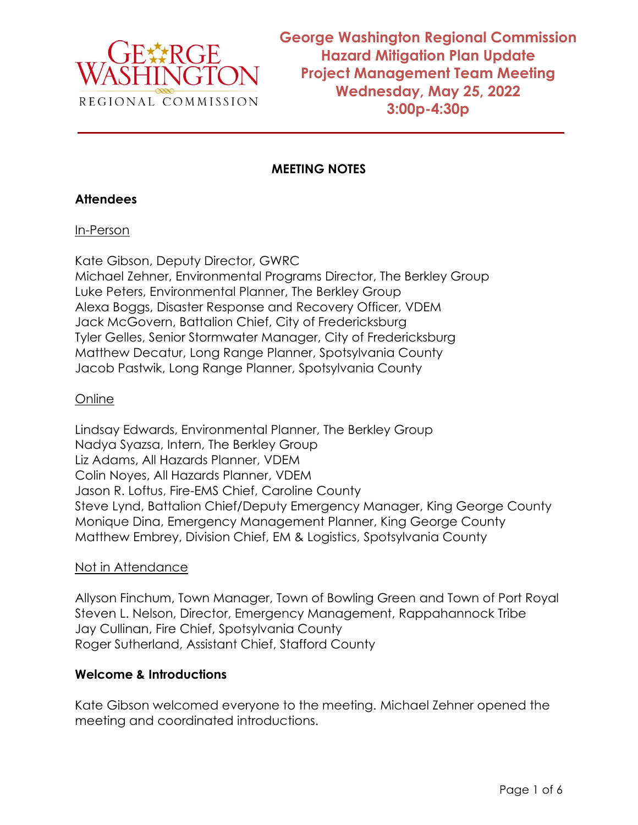

**George Washington Regional Commission Hazard Mitigation Plan Update Project Management Team Meeting Wednesday, May 25, 2022 3:00p-4:30p**

## **MEETING NOTES**

### **Attendees**

### In-Person

Kate Gibson, Deputy Director, GWRC Michael Zehner, Environmental Programs Director, The Berkley Group Luke Peters, Environmental Planner, The Berkley Group Alexa Boggs, Disaster Response and Recovery Officer, VDEM Jack McGovern, Battalion Chief, City of Fredericksburg Tyler Gelles, Senior Stormwater Manager, City of Fredericksburg Matthew Decatur, Long Range Planner, Spotsylvania County Jacob Pastwik, Long Range Planner, Spotsylvania County

### Online

Lindsay Edwards, Environmental Planner, The Berkley Group Nadya Syazsa, Intern, The Berkley Group Liz Adams, All Hazards Planner, VDEM Colin Noyes, All Hazards Planner, VDEM Jason R. Loftus, Fire-EMS Chief, Caroline County Steve Lynd, Battalion Chief/Deputy Emergency Manager, King George County Monique Dina, Emergency Management Planner, King George County Matthew Embrey, Division Chief, EM & Logistics, Spotsylvania County

### Not in Attendance

Allyson Finchum, Town Manager, Town of Bowling Green and Town of Port Royal Steven L. Nelson, Director, Emergency Management, Rappahannock Tribe Jay Cullinan, Fire Chief, Spotsylvania County Roger Sutherland, Assistant Chief, Stafford County

### **Welcome & Introductions**

Kate Gibson welcomed everyone to the meeting. Michael Zehner opened the meeting and coordinated introductions.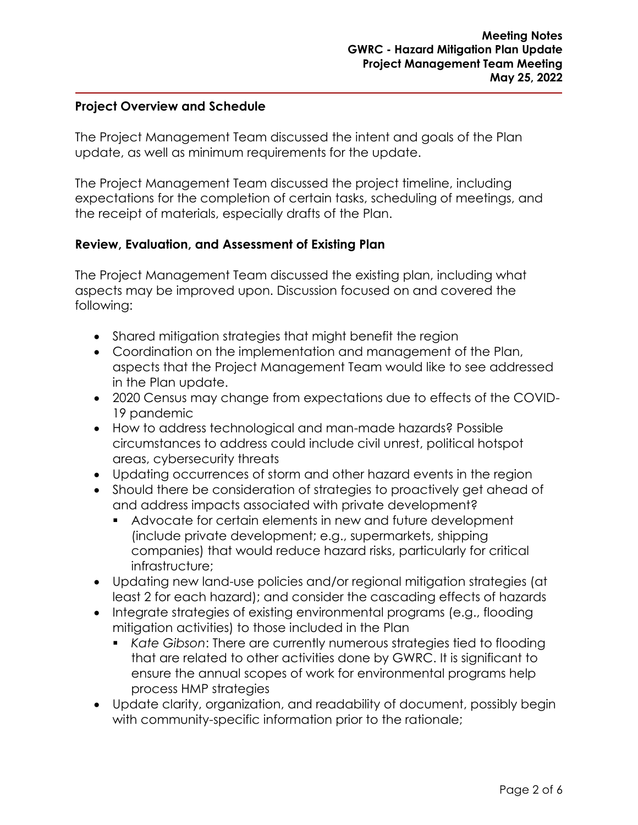#### **Project Overview and Schedule**

The Project Management Team discussed the intent and goals of the Plan update, as well as minimum requirements for the update.

The Project Management Team discussed the project timeline, including expectations for the completion of certain tasks, scheduling of meetings, and the receipt of materials, especially drafts of the Plan.

### **Review, Evaluation, and Assessment of Existing Plan**

The Project Management Team discussed the existing plan, including what aspects may be improved upon. Discussion focused on and covered the following:

- Shared mitigation strategies that might benefit the region
- Coordination on the implementation and management of the Plan, aspects that the Project Management Team would like to see addressed in the Plan update.
- 2020 Census may change from expectations due to effects of the COVID-19 pandemic
- How to address technological and man-made hazards? Possible circumstances to address could include civil unrest, political hotspot areas, cybersecurity threats
- Updating occurrences of storm and other hazard events in the region
- Should there be consideration of strategies to proactively get ahead of and address impacts associated with private development?
	- Advocate for certain elements in new and future development (include private development; e.g., supermarkets, shipping companies) that would reduce hazard risks, particularly for critical infrastructure;
- Updating new land-use policies and/or regional mitigation strategies (at least 2 for each hazard); and consider the cascading effects of hazards
- Integrate strategies of existing environmental programs (e.g., flooding mitigation activities) to those included in the Plan
	- *Kate Gibson*: There are currently numerous strategies tied to flooding that are related to other activities done by GWRC. It is significant to ensure the annual scopes of work for environmental programs help process HMP strategies
- Update clarity, organization, and readability of document, possibly begin with community-specific information prior to the rationale;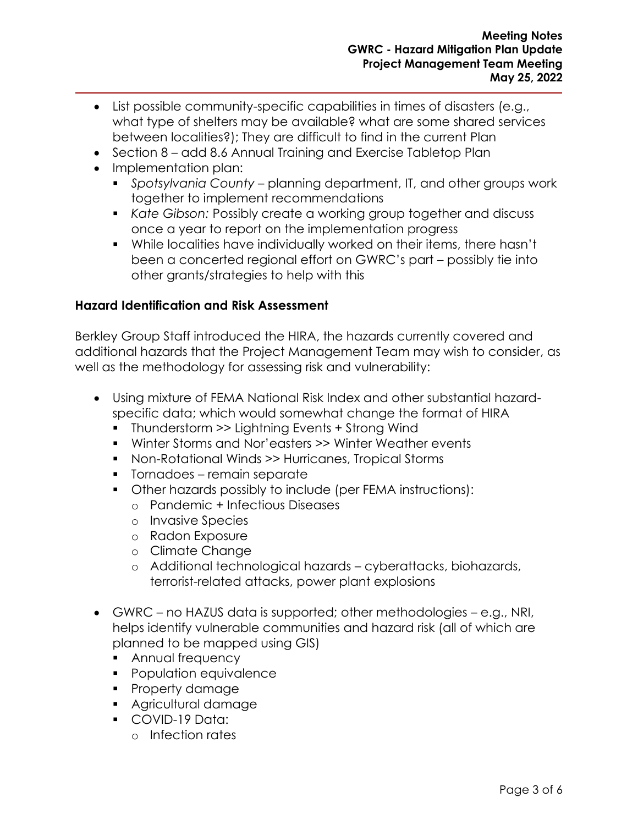- List possible community-specific capabilities in times of disasters (e.g., what type of shelters may be available? what are some shared services between localities?); They are difficult to find in the current Plan
- Section 8 add 8.6 Annual Training and Exercise Tabletop Plan
- Implementation plan:
	- *Spotsylvania County* planning department, IT, and other groups work together to implement recommendations
	- *Kate Gibson:* Possibly create a working group together and discuss once a year to report on the implementation progress
	- While localities have individually worked on their items, there hasn't been a concerted regional effort on GWRC's part – possibly tie into other grants/strategies to help with this

### **Hazard Identification and Risk Assessment**

Berkley Group Staff introduced the HIRA, the hazards currently covered and additional hazards that the Project Management Team may wish to consider, as well as the methodology for assessing risk and vulnerability:

- Using mixture of FEMA National Risk Index and other substantial hazardspecific data; which would somewhat change the format of HIRA
	- Thunderstorm >> Lightning Events + Strong Wind
	- Winter Storms and Nor'easters >> Winter Weather events
	- Non-Rotational Winds >> Hurricanes, Tropical Storms
	- Tornadoes remain separate
	- Other hazards possibly to include (per FEMA instructions):
		- o Pandemic + Infectious Diseases
		- o Invasive Species
		- o Radon Exposure
		- o Climate Change
		- o Additional technological hazards cyberattacks, biohazards, terrorist-related attacks, power plant explosions
- GWRC no HAZUS data is supported; other methodologies e.g., NRI, helps identify vulnerable communities and hazard risk (all of which are planned to be mapped using GIS)
	- Annual frequency
	- Population equivalence
	- Property damage
	- Agricultural damage
	- COVID-19 Data:
		- o Infection rates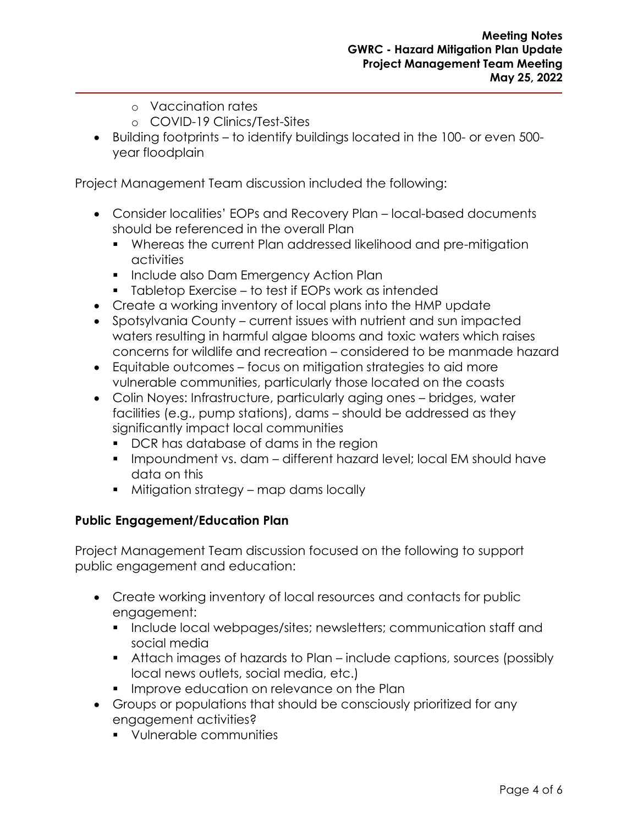- o Vaccination rates
- o COVID-19 Clinics/Test-Sites
- Building footprints to identify buildings located in the 100- or even 500 year floodplain

Project Management Team discussion included the following:

- Consider localities' EOPs and Recovery Plan local-based documents should be referenced in the overall Plan
	- Whereas the current Plan addressed likelihood and pre-mitigation activities
	- **·** Include also Dam Emergency Action Plan
	- Tabletop Exercise to test if EOPs work as intended
- Create a working inventory of local plans into the HMP update
- Spotsylvania County current issues with nutrient and sun impacted waters resulting in harmful algae blooms and toxic waters which raises concerns for wildlife and recreation – considered to be manmade hazard
- Equitable outcomes focus on mitigation strategies to aid more vulnerable communities, particularly those located on the coasts
- Colin Noyes: Infrastructure, particularly aging ones bridges, water facilities (e.g., pump stations), dams – should be addressed as they significantly impact local communities
	- DCR has database of dams in the region
	- Impoundment vs. dam different hazard level: local EM should have data on this
	- Mitigation strategy map dams locally

# **Public Engagement/Education Plan**

Project Management Team discussion focused on the following to support public engagement and education:

- Create working inventory of local resources and contacts for public engagement:
	- **•** Include local webpages/sites; newsletters; communication staff and social media
	- Attach images of hazards to Plan include captions, sources (possibly local news outlets, social media, etc.)
	- **•** Improve education on relevance on the Plan
- Groups or populations that should be consciously prioritized for any engagement activities?
	- Vulnerable communities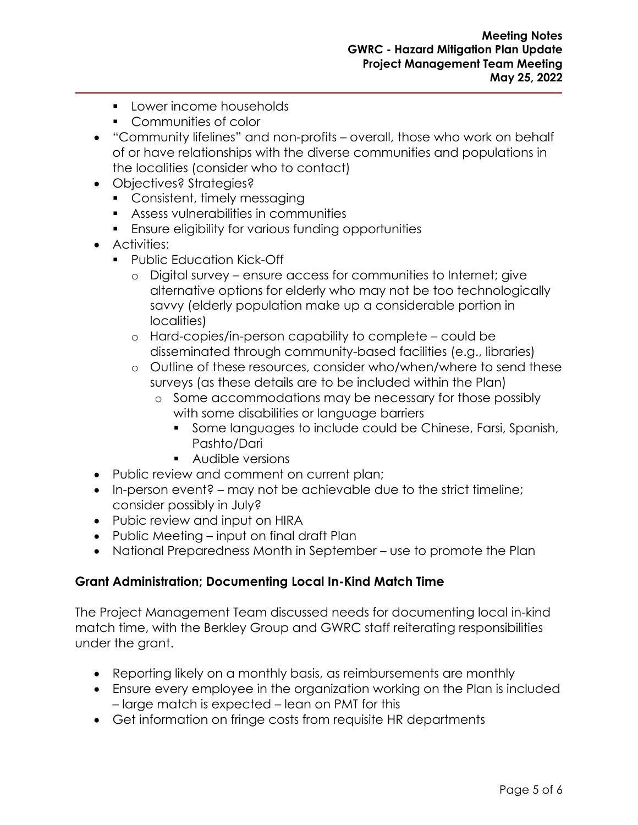- Lower income households
- Communities of color
- "Community lifelines" and non-profits overall, those who work on behalf of or have relationships with the diverse communities and populations in the localities (consider who to contact)
- Objectives? Strategies?
	- Consistent, timely messaging
	- Assess vulnerabilities in communities
	- Ensure eligibility for various funding opportunities
- Activities:
	- Public Education Kick-Off
		- o Digital survey ensure access for communities to Internet; give alternative options for elderly who may not be too technologically savvy (elderly population make up a considerable portion in localities)
		- o Hard-copies/in-person capability to complete could be disseminated through community-based facilities (e.g., libraries)
		- o Outline of these resources, consider who/when/where to send these surveys (as these details are to be included within the Plan)
			- o Some accommodations may be necessary for those possibly with some disabilities or language barriers
				- **•** Some languages to include could be Chinese, Farsi, Spanish, Pashto/Dari
				- Audible versions
- Public review and comment on current plan;
- In-person event? may not be achievable due to the strict timeline; consider possibly in July?
- Pubic review and input on HIRA
- Public Meeting input on final draft Plan
- National Preparedness Month in September use to promote the Plan

#### **Grant Administration; Documenting Local In-Kind Match Time**

The Project Management Team discussed needs for documenting local in-kind match time, with the Berkley Group and GWRC staff reiterating responsibilities under the grant.

- Reporting likely on a monthly basis, as reimbursements are monthly
- Ensure every employee in the organization working on the Plan is included – large match is expected – lean on PMT for this
- Get information on fringe costs from requisite HR departments